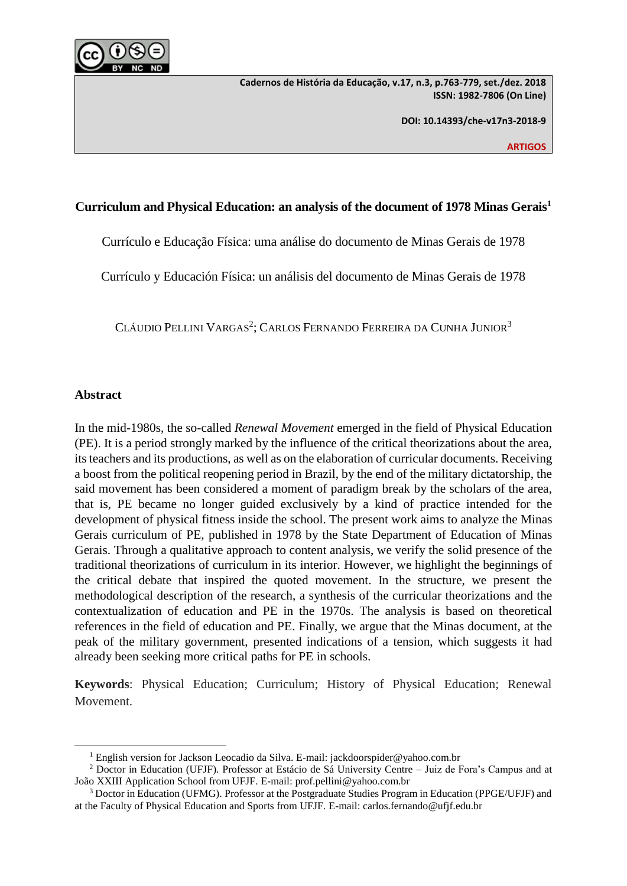

**Cadernos de História da Educação, v.17, n.3, p.763-779, set./dez. 2018 ISSN: 1982-7806 (On Line)**

**DOI: 10.14393/che-v17n3-2018-9**

**ARTIGOS**

# **Curriculum and Physical Education: an analysis of the document of 1978 Minas Gerais<sup>1</sup>**

Currículo e Educação Física: uma análise do documento de Minas Gerais de 1978

Currículo y Educación Física: un análisis del documento de Minas Gerais de 1978

CLÁUDIO PELLINI VARGAS<sup>2</sup>; CARLOS FERNANDO FERREIRA DA CUNHA JUNIOR<sup>3</sup>

## **Abstract**

 $\overline{a}$ 

In the mid-1980s, the so-called *Renewal Movement* emerged in the field of Physical Education (PE). It is a period strongly marked by the influence of the critical theorizations about the area, its teachers and its productions, as well as on the elaboration of curricular documents. Receiving a boost from the political reopening period in Brazil, by the end of the military dictatorship, the said movement has been considered a moment of paradigm break by the scholars of the area, that is, PE became no longer guided exclusively by a kind of practice intended for the development of physical fitness inside the school. The present work aims to analyze the Minas Gerais curriculum of PE, published in 1978 by the State Department of Education of Minas Gerais. Through a qualitative approach to content analysis, we verify the solid presence of the traditional theorizations of curriculum in its interior. However, we highlight the beginnings of the critical debate that inspired the quoted movement. In the structure, we present the methodological description of the research, a synthesis of the curricular theorizations and the contextualization of education and PE in the 1970s. The analysis is based on theoretical references in the field of education and PE. Finally, we argue that the Minas document, at the peak of the military government, presented indications of a tension, which suggests it had already been seeking more critical paths for PE in schools.

**Keywords**: Physical Education; Curriculum; History of Physical Education; Renewal Movement.

<sup>&</sup>lt;sup>1</sup> English version for Jackson Leocadio da Silva. E-mail: jackdoorspider@yahoo.com.br

<sup>2</sup> Doctor in Education (UFJF). Professor at Estácio de Sá University Centre – Juiz de Fora's Campus and at João XXIII Application School from UFJF. E-mail: prof.pellini@yahoo.com.br

<sup>&</sup>lt;sup>3</sup> Doctor in Education (UFMG). Professor at the Postgraduate Studies Program in Education (PPGE/UFJF) and at the Faculty of Physical Education and Sports from UFJF. E-mail: carlos.fernando@ufjf.edu.br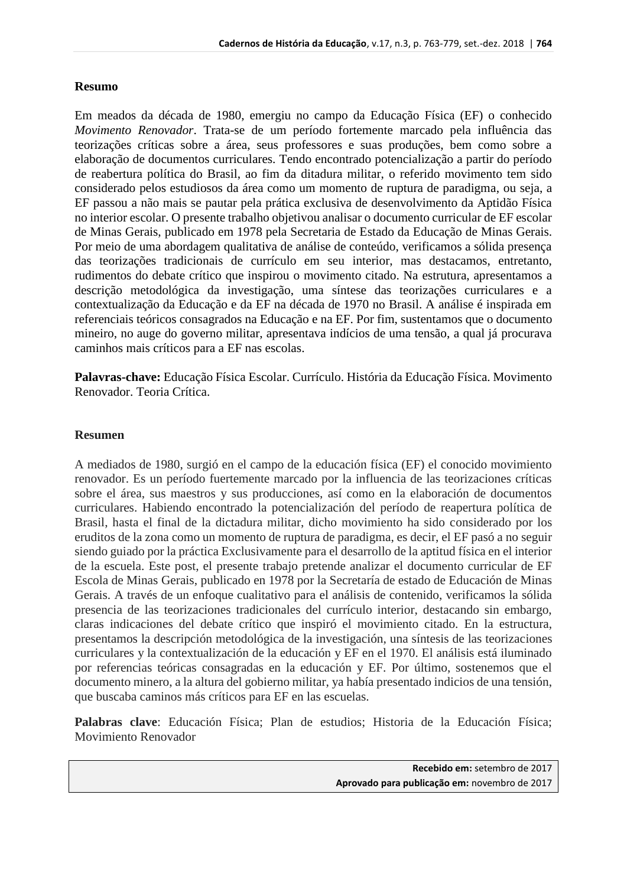## **Resumo**

Em meados da década de 1980, emergiu no campo da Educação Física (EF) o conhecido *Movimento Renovador*. Trata-se de um período fortemente marcado pela influência das teorizações críticas sobre a área, seus professores e suas produções, bem como sobre a elaboração de documentos curriculares. Tendo encontrado potencialização a partir do período de reabertura política do Brasil, ao fim da ditadura militar, o referido movimento tem sido considerado pelos estudiosos da área como um momento de ruptura de paradigma, ou seja, a EF passou a não mais se pautar pela prática exclusiva de desenvolvimento da Aptidão Física no interior escolar. O presente trabalho objetivou analisar o documento curricular de EF escolar de Minas Gerais, publicado em 1978 pela Secretaria de Estado da Educação de Minas Gerais. Por meio de uma abordagem qualitativa de análise de conteúdo, verificamos a sólida presença das teorizações tradicionais de currículo em seu interior, mas destacamos, entretanto, rudimentos do debate crítico que inspirou o movimento citado. Na estrutura, apresentamos a descrição metodológica da investigação, uma síntese das teorizações curriculares e a contextualização da Educação e da EF na década de 1970 no Brasil. A análise é inspirada em referenciais teóricos consagrados na Educação e na EF. Por fim, sustentamos que o documento mineiro, no auge do governo militar, apresentava indícios de uma tensão, a qual já procurava caminhos mais críticos para a EF nas escolas.

**Palavras-chave:** Educação Física Escolar. Currículo. História da Educação Física. Movimento Renovador. Teoria Crítica.

## **Resumen**

A mediados de 1980, surgió en el campo de la educación física (EF) el conocido movimiento renovador. Es un período fuertemente marcado por la influencia de las teorizaciones críticas sobre el área, sus maestros y sus producciones, así como en la elaboración de documentos curriculares. Habiendo encontrado la potencialización del período de reapertura política de Brasil, hasta el final de la dictadura militar, dicho movimiento ha sido considerado por los eruditos de la zona como un momento de ruptura de paradigma, es decir, el EF pasó a no seguir siendo guiado por la práctica Exclusivamente para el desarrollo de la aptitud física en el interior de la escuela. Este post, el presente trabajo pretende analizar el documento curricular de EF Escola de Minas Gerais, publicado en 1978 por la Secretaría de estado de Educación de Minas Gerais. A través de un enfoque cualitativo para el análisis de contenido, verificamos la sólida presencia de las teorizaciones tradicionales del currículo interior, destacando sin embargo, claras indicaciones del debate crítico que inspiró el movimiento citado. En la estructura, presentamos la descripción metodológica de la investigación, una síntesis de las teorizaciones curriculares y la contextualización de la educación y EF en el 1970. El análisis está iluminado por referencias teóricas consagradas en la educación y EF. Por último, sostenemos que el documento minero, a la altura del gobierno militar, ya había presentado indicios de una tensión, que buscaba caminos más críticos para EF en las escuelas.

**Palabras clave**: Educación Física; Plan de estudios; Historia de la Educación Física; Movimiento Renovador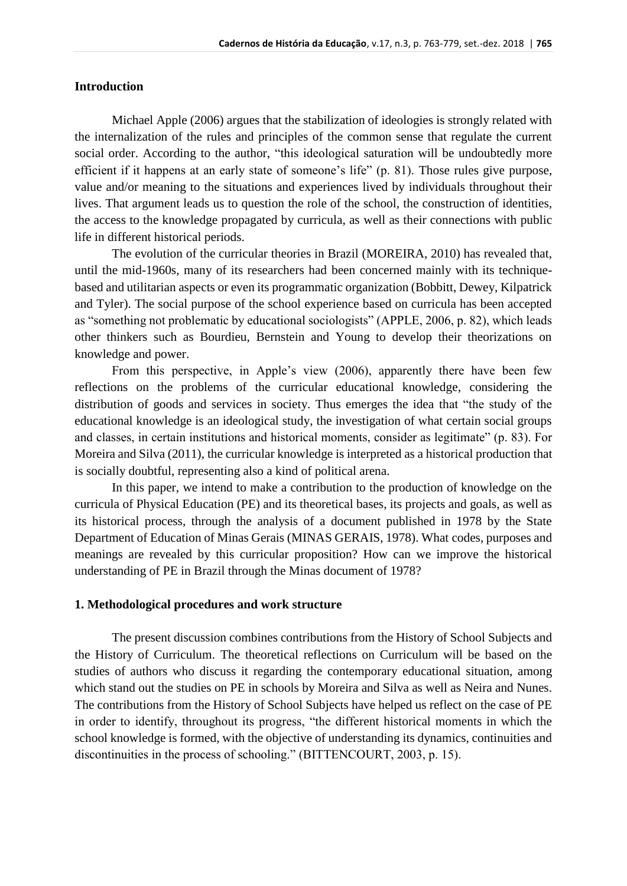# **Introduction**

Michael Apple (2006) argues that the stabilization of ideologies is strongly related with the internalization of the rules and principles of the common sense that regulate the current social order. According to the author, "this ideological saturation will be undoubtedly more efficient if it happens at an early state of someone's life" (p. 81). Those rules give purpose, value and/or meaning to the situations and experiences lived by individuals throughout their lives. That argument leads us to question the role of the school, the construction of identities, the access to the knowledge propagated by curricula, as well as their connections with public life in different historical periods.

The evolution of the curricular theories in Brazil (MOREIRA, 2010) has revealed that, until the mid-1960s, many of its researchers had been concerned mainly with its techniquebased and utilitarian aspects or even its programmatic organization (Bobbitt, Dewey, Kilpatrick and Tyler). The social purpose of the school experience based on curricula has been accepted as "something not problematic by educational sociologists" (APPLE, 2006, p. 82), which leads other thinkers such as Bourdieu, Bernstein and Young to develop their theorizations on knowledge and power.

From this perspective, in Apple's view (2006), apparently there have been few reflections on the problems of the curricular educational knowledge, considering the distribution of goods and services in society. Thus emerges the idea that "the study of the educational knowledge is an ideological study, the investigation of what certain social groups and classes, in certain institutions and historical moments, consider as legitimate" (p. 83). For Moreira and Silva (2011), the curricular knowledge is interpreted as a historical production that is socially doubtful, representing also a kind of political arena.

In this paper, we intend to make a contribution to the production of knowledge on the curricula of Physical Education (PE) and its theoretical bases, its projects and goals, as well as its historical process, through the analysis of a document published in 1978 by the State Department of Education of Minas Gerais (MINAS GERAIS, 1978). What codes, purposes and meanings are revealed by this curricular proposition? How can we improve the historical understanding of PE in Brazil through the Minas document of 1978?

#### **1. Methodological procedures and work structure**

The present discussion combines contributions from the History of School Subjects and the History of Curriculum. The theoretical reflections on Curriculum will be based on the studies of authors who discuss it regarding the contemporary educational situation, among which stand out the studies on PE in schools by Moreira and Silva as well as Neira and Nunes. The contributions from the History of School Subjects have helped us reflect on the case of PE in order to identify, throughout its progress, "the different historical moments in which the school knowledge is formed, with the objective of understanding its dynamics, continuities and discontinuities in the process of schooling." (BITTENCOURT, 2003, p. 15).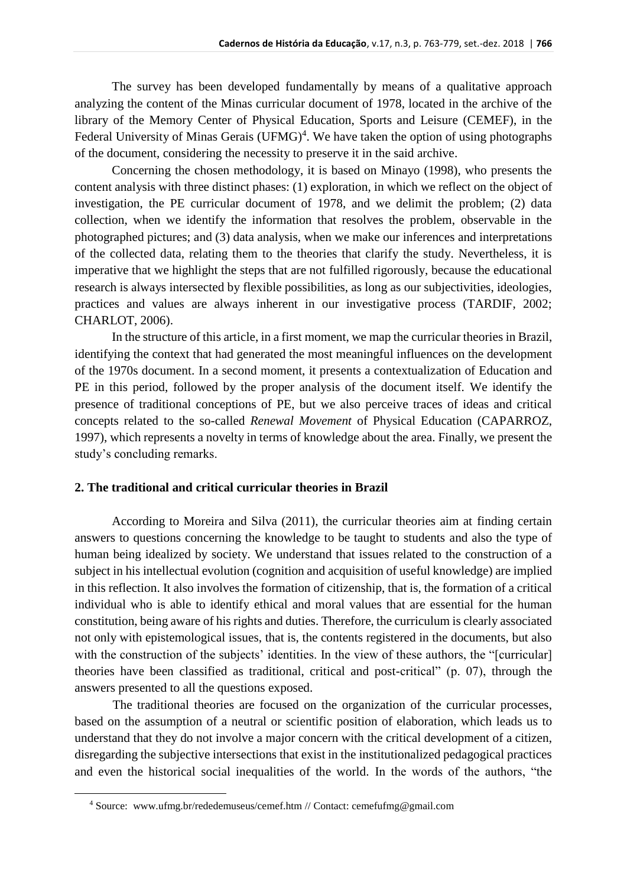The survey has been developed fundamentally by means of a qualitative approach analyzing the content of the Minas curricular document of 1978, located in the archive of the library of the Memory Center of Physical Education, Sports and Leisure (CEMEF), in the Federal University of Minas Gerais (UFMG)<sup>4</sup>. We have taken the option of using photographs of the document, considering the necessity to preserve it in the said archive.

Concerning the chosen methodology, it is based on Minayo (1998), who presents the content analysis with three distinct phases: (1) exploration, in which we reflect on the object of investigation, the PE curricular document of 1978, and we delimit the problem; (2) data collection, when we identify the information that resolves the problem, observable in the photographed pictures; and (3) data analysis, when we make our inferences and interpretations of the collected data, relating them to the theories that clarify the study. Nevertheless, it is imperative that we highlight the steps that are not fulfilled rigorously, because the educational research is always intersected by flexible possibilities, as long as our subjectivities, ideologies, practices and values are always inherent in our investigative process (TARDIF, 2002; CHARLOT, 2006).

In the structure of this article, in a first moment, we map the curricular theories in Brazil, identifying the context that had generated the most meaningful influences on the development of the 1970s document. In a second moment, it presents a contextualization of Education and PE in this period, followed by the proper analysis of the document itself. We identify the presence of traditional conceptions of PE, but we also perceive traces of ideas and critical concepts related to the so-called *Renewal Movement* of Physical Education (CAPARROZ, 1997), which represents a novelty in terms of knowledge about the area. Finally, we present the study's concluding remarks.

### **2. The traditional and critical curricular theories in Brazil**

According to Moreira and Silva (2011), the curricular theories aim at finding certain answers to questions concerning the knowledge to be taught to students and also the type of human being idealized by society. We understand that issues related to the construction of a subject in his intellectual evolution (cognition and acquisition of useful knowledge) are implied in this reflection. It also involves the formation of citizenship, that is, the formation of a critical individual who is able to identify ethical and moral values that are essential for the human constitution, being aware of his rights and duties. Therefore, the curriculum is clearly associated not only with epistemological issues, that is, the contents registered in the documents, but also with the construction of the subjects' identities. In the view of these authors, the "[curricular] theories have been classified as traditional, critical and post-critical" (p. 07), through the answers presented to all the questions exposed.

The traditional theories are focused on the organization of the curricular processes, based on the assumption of a neutral or scientific position of elaboration, which leads us to understand that they do not involve a major concern with the critical development of a citizen, disregarding the subjective intersections that exist in the institutionalized pedagogical practices and even the historical social inequalities of the world. In the words of the authors, "the

<sup>4</sup> Source: [www.ufmg.br/rededemuseus/cemef.htm](http://www.ufmg.br/rededemuseus/cemef.htm%20/) // Contact: cemefufmg@gmail.com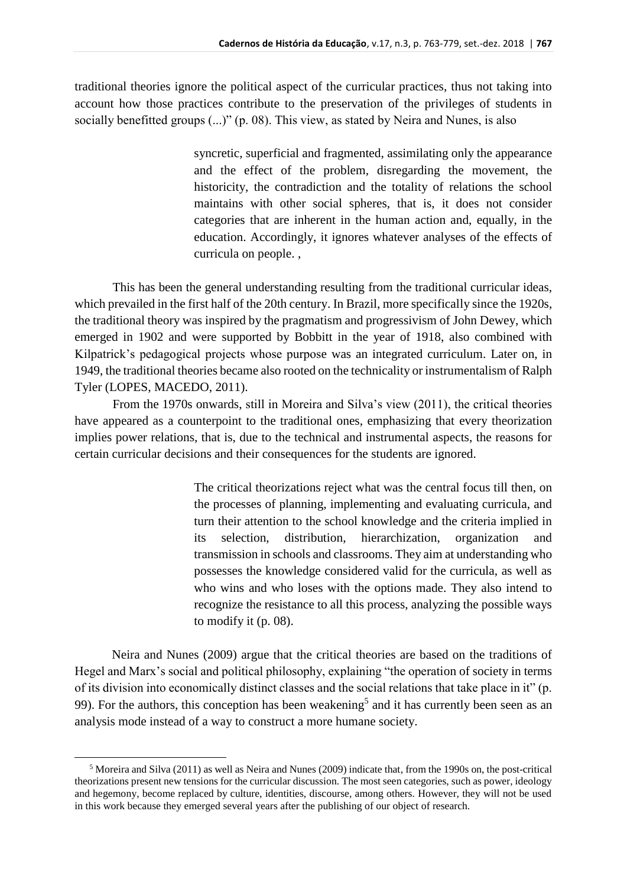traditional theories ignore the political aspect of the curricular practices, thus not taking into account how those practices contribute to the preservation of the privileges of students in socially benefitted groups (...)" (p. 08). This view, as stated by Neira and Nunes, is also

> syncretic, superficial and fragmented, assimilating only the appearance and the effect of the problem, disregarding the movement, the historicity, the contradiction and the totality of relations the school maintains with other social spheres, that is, it does not consider categories that are inherent in the human action and, equally, in the education. Accordingly, it ignores whatever analyses of the effects of curricula on people. ,

This has been the general understanding resulting from the traditional curricular ideas, which prevailed in the first half of the 20th century. In Brazil, more specifically since the 1920s, the traditional theory was inspired by the pragmatism and progressivism of John Dewey, which emerged in 1902 and were supported by Bobbitt in the year of 1918, also combined with Kilpatrick's pedagogical projects whose purpose was an integrated curriculum. Later on, in 1949, the traditional theories became also rooted on the technicality or instrumentalism of Ralph Tyler (LOPES, MACEDO, 2011).

From the 1970s onwards, still in Moreira and Silva's view (2011), the critical theories have appeared as a counterpoint to the traditional ones, emphasizing that every theorization implies power relations, that is, due to the technical and instrumental aspects, the reasons for certain curricular decisions and their consequences for the students are ignored.

> The critical theorizations reject what was the central focus till then, on the processes of planning, implementing and evaluating curricula, and turn their attention to the school knowledge and the criteria implied in its selection, distribution, hierarchization, organization and transmission in schools and classrooms. They aim at understanding who possesses the knowledge considered valid for the curricula, as well as who wins and who loses with the options made. They also intend to recognize the resistance to all this process, analyzing the possible ways to modify it (p. 08).

Neira and Nunes (2009) argue that the critical theories are based on the traditions of Hegel and Marx's social and political philosophy, explaining "the operation of society in terms of its division into economically distinct classes and the social relations that take place in it" (p. 99). For the authors, this conception has been weakening<sup>5</sup> and it has currently been seen as an analysis mode instead of a way to construct a more humane society.

 $5$  Moreira and Silva (2011) as well as Neira and Nunes (2009) indicate that, from the 1990s on, the post-critical theorizations present new tensions for the curricular discussion. The most seen categories, such as power, ideology and hegemony, become replaced by culture, identities, discourse, among others. However, they will not be used in this work because they emerged several years after the publishing of our object of research.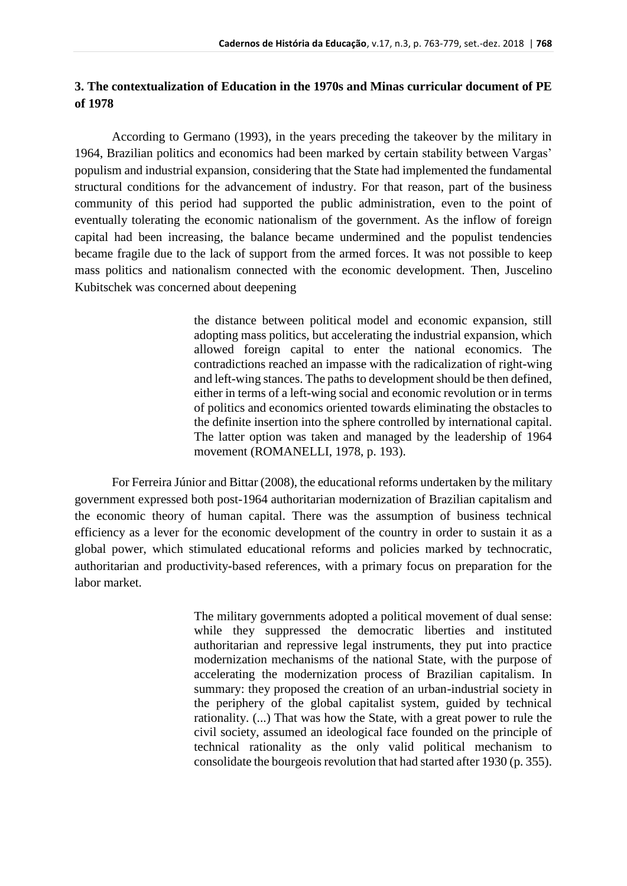# **3. The contextualization of Education in the 1970s and Minas curricular document of PE of 1978**

According to Germano (1993), in the years preceding the takeover by the military in 1964, Brazilian politics and economics had been marked by certain stability between Vargas' populism and industrial expansion, considering that the State had implemented the fundamental structural conditions for the advancement of industry. For that reason, part of the business community of this period had supported the public administration, even to the point of eventually tolerating the economic nationalism of the government. As the inflow of foreign capital had been increasing, the balance became undermined and the populist tendencies became fragile due to the lack of support from the armed forces. It was not possible to keep mass politics and nationalism connected with the economic development. Then, Juscelino Kubitschek was concerned about deepening

> the distance between political model and economic expansion, still adopting mass politics, but accelerating the industrial expansion, which allowed foreign capital to enter the national economics. The contradictions reached an impasse with the radicalization of right-wing and left-wing stances. The paths to development should be then defined, either in terms of a left-wing social and economic revolution or in terms of politics and economics oriented towards eliminating the obstacles to the definite insertion into the sphere controlled by international capital. The latter option was taken and managed by the leadership of 1964 movement (ROMANELLI, 1978, p. 193).

For Ferreira Júnior and Bittar (2008), the educational reforms undertaken by the military government expressed both post-1964 authoritarian modernization of Brazilian capitalism and the economic theory of human capital. There was the assumption of business technical efficiency as a lever for the economic development of the country in order to sustain it as a global power, which stimulated educational reforms and policies marked by technocratic, authoritarian and productivity-based references, with a primary focus on preparation for the labor market.

> The military governments adopted a political movement of dual sense: while they suppressed the democratic liberties and instituted authoritarian and repressive legal instruments, they put into practice modernization mechanisms of the national State, with the purpose of accelerating the modernization process of Brazilian capitalism. In summary: they proposed the creation of an urban-industrial society in the periphery of the global capitalist system, guided by technical rationality. (...) That was how the State, with a great power to rule the civil society, assumed an ideological face founded on the principle of technical rationality as the only valid political mechanism to consolidate the bourgeois revolution that had started after 1930 (p. 355).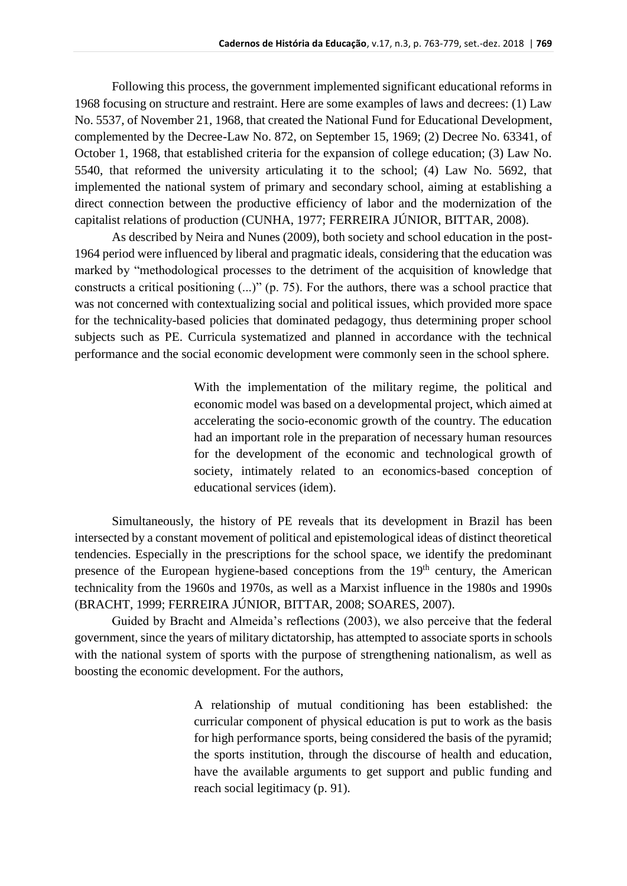Following this process, the government implemented significant educational reforms in 1968 focusing on structure and restraint. Here are some examples of laws and decrees: (1) Law No. 5537, of November 21, 1968, that created the National Fund for Educational Development, complemented by the Decree-Law No. 872, on September 15, 1969; (2) Decree No. 63341, of October 1, 1968, that established criteria for the expansion of college education; (3) Law No. 5540, that reformed the university articulating it to the school; (4) Law No. 5692, that implemented the national system of primary and secondary school, aiming at establishing a direct connection between the productive efficiency of labor and the modernization of the capitalist relations of production (CUNHA, 1977; FERREIRA JÚNIOR, BITTAR, 2008).

As described by Neira and Nunes (2009), both society and school education in the post-1964 period were influenced by liberal and pragmatic ideals, considering that the education was marked by "methodological processes to the detriment of the acquisition of knowledge that constructs a critical positioning (...)" (p. 75). For the authors, there was a school practice that was not concerned with contextualizing social and political issues, which provided more space for the technicality-based policies that dominated pedagogy, thus determining proper school subjects such as PE. Curricula systematized and planned in accordance with the technical performance and the social economic development were commonly seen in the school sphere.

> With the implementation of the military regime, the political and economic model was based on a developmental project, which aimed at accelerating the socio-economic growth of the country. The education had an important role in the preparation of necessary human resources for the development of the economic and technological growth of society, intimately related to an economics-based conception of educational services (idem).

Simultaneously, the history of PE reveals that its development in Brazil has been intersected by a constant movement of political and epistemological ideas of distinct theoretical tendencies. Especially in the prescriptions for the school space, we identify the predominant presence of the European hygiene-based conceptions from the  $19<sup>th</sup>$  century, the American technicality from the 1960s and 1970s, as well as a Marxist influence in the 1980s and 1990s (BRACHT, 1999; FERREIRA JÚNIOR, BITTAR, 2008; SOARES, 2007).

Guided by Bracht and Almeida's reflections (2003), we also perceive that the federal government, since the years of military dictatorship, has attempted to associate sports in schools with the national system of sports with the purpose of strengthening nationalism, as well as boosting the economic development. For the authors,

> A relationship of mutual conditioning has been established: the curricular component of physical education is put to work as the basis for high performance sports, being considered the basis of the pyramid; the sports institution, through the discourse of health and education, have the available arguments to get support and public funding and reach social legitimacy (p. 91).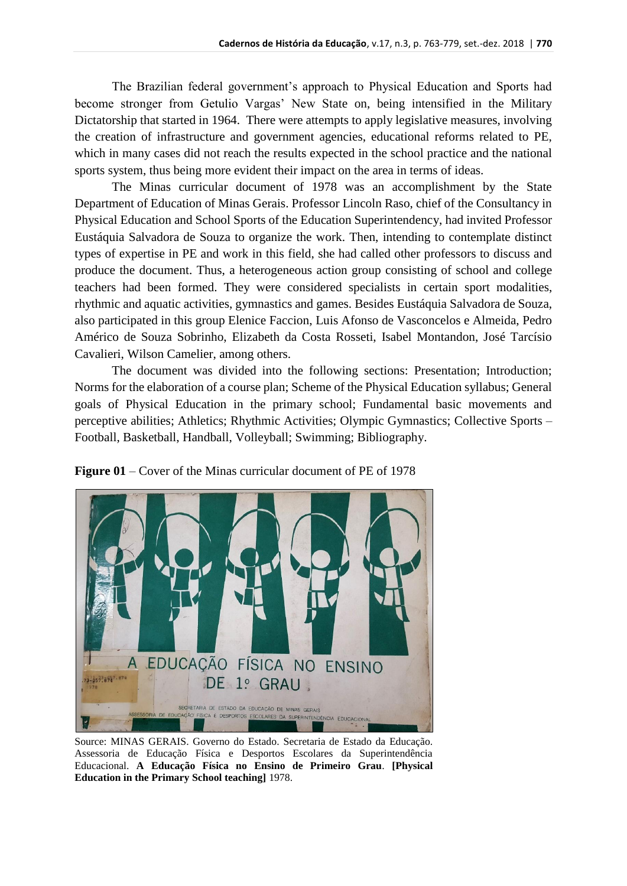The Brazilian federal government's approach to Physical Education and Sports had become stronger from Getulio Vargas' New State on, being intensified in the Military Dictatorship that started in 1964. There were attempts to apply legislative measures, involving the creation of infrastructure and government agencies, educational reforms related to PE, which in many cases did not reach the results expected in the school practice and the national sports system, thus being more evident their impact on the area in terms of ideas.

The Minas curricular document of 1978 was an accomplishment by the State Department of Education of Minas Gerais. Professor Lincoln Raso, chief of the Consultancy in Physical Education and School Sports of the Education Superintendency, had invited Professor Eustáquia Salvadora de Souza to organize the work. Then, intending to contemplate distinct types of expertise in PE and work in this field, she had called other professors to discuss and produce the document. Thus, a heterogeneous action group consisting of school and college teachers had been formed. They were considered specialists in certain sport modalities, rhythmic and aquatic activities, gymnastics and games. Besides Eustáquia Salvadora de Souza, also participated in this group Elenice Faccion, Luis Afonso de Vasconcelos e Almeida, Pedro Américo de Souza Sobrinho, Elizabeth da Costa Rosseti, Isabel Montandon, José Tarcísio Cavalieri, Wilson Camelier, among others.

The document was divided into the following sections: Presentation; Introduction; Norms for the elaboration of a course plan; Scheme of the Physical Education syllabus; General goals of Physical Education in the primary school; Fundamental basic movements and perceptive abilities; Athletics; Rhythmic Activities; Olympic Gymnastics; Collective Sports – Football, Basketball, Handball, Volleyball; Swimming; Bibliography.



**Figure 01** – Cover of the Minas curricular document of PE of 1978

Source: MINAS GERAIS. Governo do Estado. Secretaria de Estado da Educação. Assessoria de Educação Física e Desportos Escolares da Superintendência Educacional. **A Educação Física no Ensino de Primeiro Grau**. **[Physical Education in the Primary School teaching]** 1978.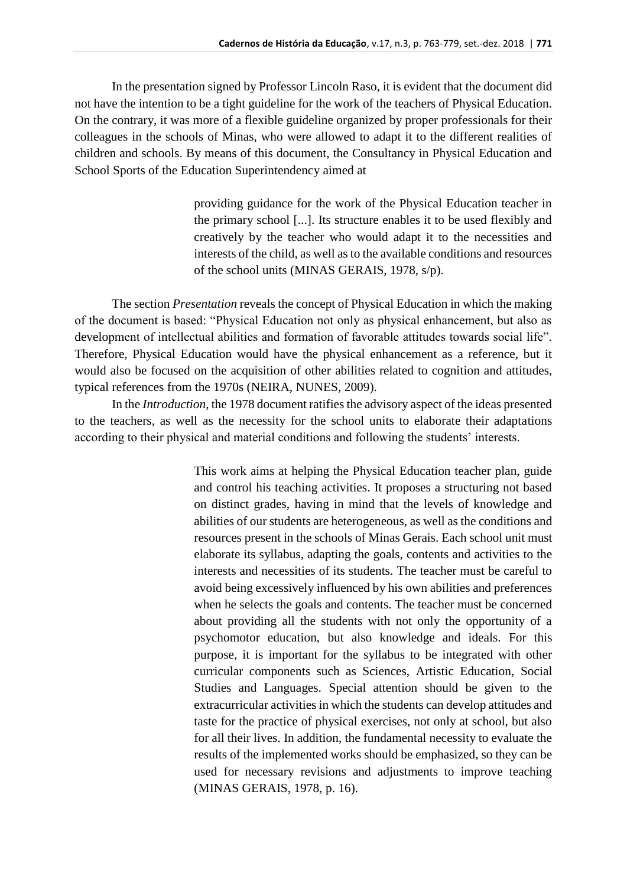In the presentation signed by Professor Lincoln Raso, it is evident that the document did not have the intention to be a tight guideline for the work of the teachers of Physical Education. On the contrary, it was more of a flexible guideline organized by proper professionals for their colleagues in the schools of Minas, who were allowed to adapt it to the different realities of children and schools. By means of this document, the Consultancy in Physical Education and School Sports of the Education Superintendency aimed at

> providing guidance for the work of the Physical Education teacher in the primary school [...]. Its structure enables it to be used flexibly and creatively by the teacher who would adapt it to the necessities and interests of the child, as well as to the available conditions and resources of the school units (MINAS GERAIS, 1978, s/p).

The section *Presentation* reveals the concept of Physical Education in which the making of the document is based: "Physical Education not only as physical enhancement, but also as development of intellectual abilities and formation of favorable attitudes towards social life". Therefore, Physical Education would have the physical enhancement as a reference, but it would also be focused on the acquisition of other abilities related to cognition and attitudes, typical references from the 1970s (NEIRA, NUNES, 2009).

In the *Introduction*, the 1978 document ratifies the advisory aspect of the ideas presented to the teachers, as well as the necessity for the school units to elaborate their adaptations according to their physical and material conditions and following the students' interests.

> This work aims at helping the Physical Education teacher plan, guide and control his teaching activities. It proposes a structuring not based on distinct grades, having in mind that the levels of knowledge and abilities of our students are heterogeneous, as well as the conditions and resources present in the schools of Minas Gerais. Each school unit must elaborate its syllabus, adapting the goals, contents and activities to the interests and necessities of its students. The teacher must be careful to avoid being excessively influenced by his own abilities and preferences when he selects the goals and contents. The teacher must be concerned about providing all the students with not only the opportunity of a psychomotor education, but also knowledge and ideals. For this purpose, it is important for the syllabus to be integrated with other curricular components such as Sciences, Artistic Education, Social Studies and Languages. Special attention should be given to the extracurricular activities in which the students can develop attitudes and taste for the practice of physical exercises, not only at school, but also for all their lives. In addition, the fundamental necessity to evaluate the results of the implemented works should be emphasized, so they can be used for necessary revisions and adjustments to improve teaching (MINAS GERAIS, 1978, p. 16).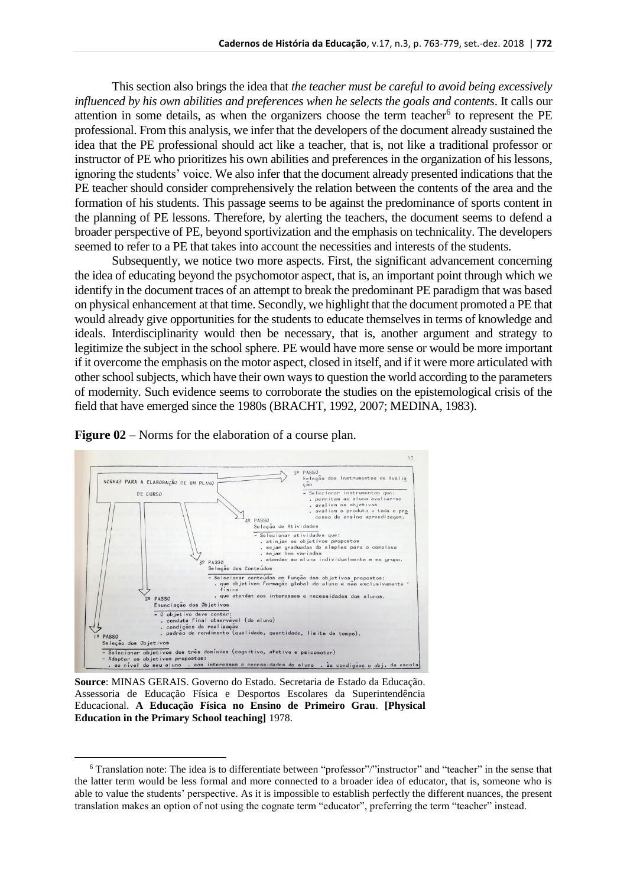This section also brings the idea that *the teacher must be careful to avoid being excessively influenced by his own abilities and preferences when he selects the goals and contents*. It calls our attention in some details, as when the organizers choose the term teacher<sup>6</sup> to represent the PE professional. From this analysis, we infer that the developers of the document already sustained the idea that the PE professional should act like a teacher, that is, not like a traditional professor or instructor of PE who prioritizes his own abilities and preferences in the organization of his lessons, ignoring the students' voice. We also infer that the document already presented indications that the PE teacher should consider comprehensively the relation between the contents of the area and the formation of his students. This passage seems to be against the predominance of sports content in the planning of PE lessons. Therefore, by alerting the teachers, the document seems to defend a broader perspective of PE, beyond sportivization and the emphasis on technicality. The developers seemed to refer to a PE that takes into account the necessities and interests of the students.

Subsequently, we notice two more aspects. First, the significant advancement concerning the idea of educating beyond the psychomotor aspect, that is, an important point through which we identify in the document traces of an attempt to break the predominant PE paradigm that was based on physical enhancement at that time. Secondly, we highlight that the document promoted a PE that would already give opportunities for the students to educate themselves in terms of knowledge and ideals. Interdisciplinarity would then be necessary, that is, another argument and strategy to legitimize the subject in the school sphere. PE would have more sense or would be more important if it overcome the emphasis on the motor aspect, closed in itself, and if it were more articulated with other school subjects, which have their own ways to question the world according to the parameters of modernity. Such evidence seems to corroborate the studies on the epistemological crisis of the field that have emerged since the 1980s (BRACHT, 1992, 2007; MEDINA, 1983).

**Figure 02** – Norms for the elaboration of a course plan.



**Source**: MINAS GERAIS. Governo do Estado. Secretaria de Estado da Educação. Assessoria de Educação Física e Desportos Escolares da Superintendência Educacional. **A Educação Física no Ensino de Primeiro Grau**. **[Physical Education in the Primary School teaching]** 1978.

<sup>6</sup> Translation note: The idea is to differentiate between "professor"/"instructor" and "teacher" in the sense that the latter term would be less formal and more connected to a broader idea of educator, that is, someone who is able to value the students' perspective. As it is impossible to establish perfectly the different nuances, the present translation makes an option of not using the cognate term "educator", preferring the term "teacher" instead.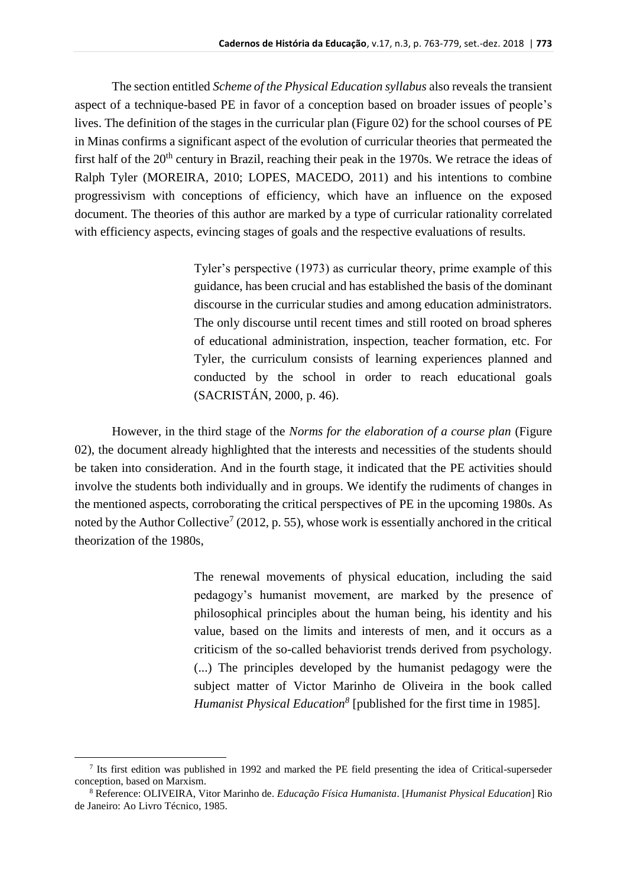The section entitled *Scheme of the Physical Education syllabus* also reveals the transient aspect of a technique-based PE in favor of a conception based on broader issues of people's lives. The definition of the stages in the curricular plan (Figure 02) for the school courses of PE in Minas confirms a significant aspect of the evolution of curricular theories that permeated the first half of the 20<sup>th</sup> century in Brazil, reaching their peak in the 1970s. We retrace the ideas of Ralph Tyler (MOREIRA, 2010; LOPES, MACEDO, 2011) and his intentions to combine progressivism with conceptions of efficiency, which have an influence on the exposed document. The theories of this author are marked by a type of curricular rationality correlated with efficiency aspects, evincing stages of goals and the respective evaluations of results.

> Tyler's perspective (1973) as curricular theory, prime example of this guidance, has been crucial and has established the basis of the dominant discourse in the curricular studies and among education administrators. The only discourse until recent times and still rooted on broad spheres of educational administration, inspection, teacher formation, etc. For Tyler, the curriculum consists of learning experiences planned and conducted by the school in order to reach educational goals (SACRISTÁN, 2000, p. 46).

However, in the third stage of the *Norms for the elaboration of a course plan* (Figure 02), the document already highlighted that the interests and necessities of the students should be taken into consideration. And in the fourth stage, it indicated that the PE activities should involve the students both individually and in groups. We identify the rudiments of changes in the mentioned aspects, corroborating the critical perspectives of PE in the upcoming 1980s. As noted by the Author Collective<sup>7</sup> (2012, p. 55), whose work is essentially anchored in the critical theorization of the 1980s,

> The renewal movements of physical education, including the said pedagogy's humanist movement, are marked by the presence of philosophical principles about the human being, his identity and his value, based on the limits and interests of men, and it occurs as a criticism of the so-called behaviorist trends derived from psychology. (...) The principles developed by the humanist pedagogy were the subject matter of Victor Marinho de Oliveira in the book called *Humanist Physical Education<sup>8</sup>* [published for the first time in 1985].

<sup>7</sup> Its first edition was published in 1992 and marked the PE field presenting the idea of Critical-superseder conception, based on Marxism.

<sup>8</sup> Reference: OLIVEIRA, Vitor Marinho de. *Educação Física Humanista*. [*Humanist Physical Education*] Rio de Janeiro: Ao Livro Técnico, 1985.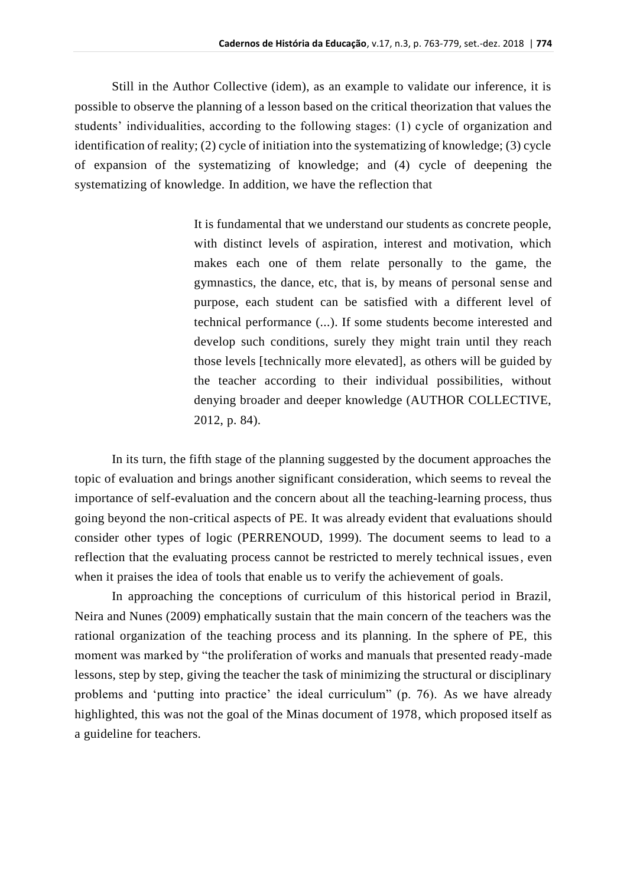Still in the Author Collective (idem), as an example to validate our inference, it is possible to observe the planning of a lesson based on the critical theorization that values the students' individualities, according to the following stages: (1) cycle of organization and identification of reality; (2) cycle of initiation into the systematizing of knowledge; (3) cycle of expansion of the systematizing of knowledge; and (4) cycle of deepening the systematizing of knowledge. In addition, we have the reflection that

> It is fundamental that we understand our students as concrete people, with distinct levels of aspiration, interest and motivation, which makes each one of them relate personally to the game, the gymnastics, the dance, etc, that is, by means of personal sense and purpose, each student can be satisfied with a different level of technical performance (...). If some students become interested and develop such conditions, surely they might train until they reach those levels [technically more elevated], as others will be guided by the teacher according to their individual possibilities, without denying broader and deeper knowledge (AUTHOR COLLECTIVE, 2012, p. 84).

In its turn, the fifth stage of the planning suggested by the document approaches the topic of evaluation and brings another significant consideration, which seems to reveal the importance of self-evaluation and the concern about all the teaching-learning process, thus going beyond the non-critical aspects of PE. It was already evident that evaluations should consider other types of logic (PERRENOUD, 1999). The document seems to lead to a reflection that the evaluating process cannot be restricted to merely technical issues, even when it praises the idea of tools that enable us to verify the achievement of goals.

In approaching the conceptions of curriculum of this historical period in Brazil, Neira and Nunes (2009) emphatically sustain that the main concern of the teachers was the rational organization of the teaching process and its planning. In the sphere of PE, this moment was marked by "the proliferation of works and manuals that presented ready-made lessons, step by step, giving the teacher the task of minimizing the structural or disciplinary problems and 'putting into practice' the ideal curriculum" (p. 76). As we have already highlighted, this was not the goal of the Minas document of 1978, which proposed itself as a guideline for teachers.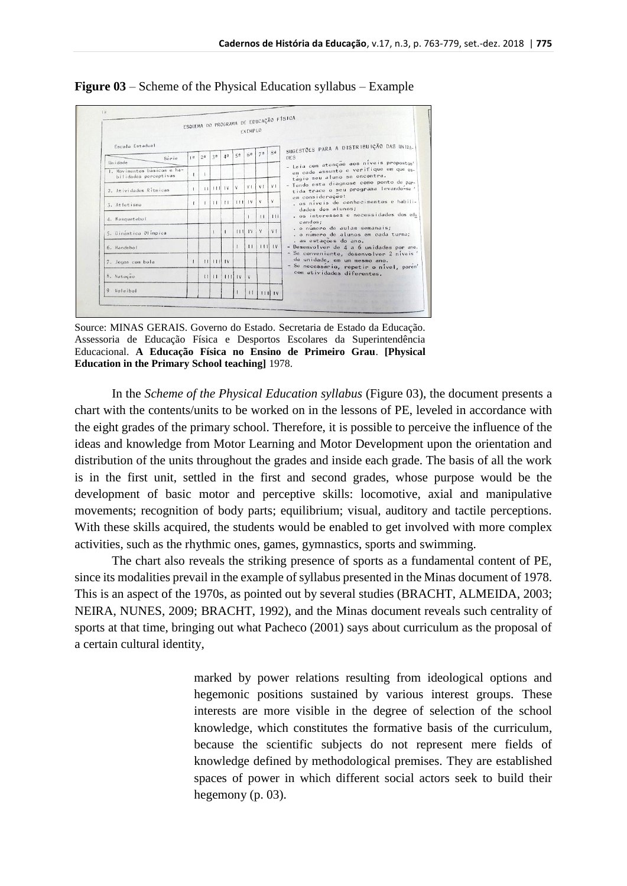|                                                      |                |                |        |                |                | <b>EXEMPLO</b> |                |                | ESQUEMA DO PROGRAMA DE EDUCAÇÃO FÍSICA                                                                                                                                                                                                                                                                  |
|------------------------------------------------------|----------------|----------------|--------|----------------|----------------|----------------|----------------|----------------|---------------------------------------------------------------------------------------------------------------------------------------------------------------------------------------------------------------------------------------------------------------------------------------------------------|
| Escola Estadual                                      |                |                |        |                |                |                |                |                | SUGESTÕES PARA A DISTRIBUIÇÃO DAS UNIDA-                                                                                                                                                                                                                                                                |
| Série<br>Unidade                                     | 1 <sup>0</sup> | 2 <sup>a</sup> | 38     | 4 <sup>a</sup> | 5 <sup>0</sup> | 62             | 7 <sup>a</sup> | 8 <sup>a</sup> | <b>DES</b><br>- Leia com atenção aos níveis propostos<br>em cada assunto e verifique em que es-<br>tágio seu aluno se encontra.<br>- Tendo esta diagnose como ponto de par-<br>tida trace o seu programa levando-se'<br>em consideração:<br>, os níveis de conhecimentos e habili-<br>dades dos alunos; |
| I. Movimentos basicos e ha-<br>bilidades perceptivas |                |                |        |                |                |                |                |                |                                                                                                                                                                                                                                                                                                         |
| 2. Atividades Ritmicas                               | т.             | $\pm$          |        | 1111V          | v              | V1             | V <sub>1</sub> | V <sub>1</sub> |                                                                                                                                                                                                                                                                                                         |
| 3. Atletismo                                         | $\mathbf{r}$   |                | 11     | 11             | 11111V         |                | V              |                |                                                                                                                                                                                                                                                                                                         |
| 4. Basquetebol                                       |                |                |        |                |                |                | $\pm$          | 111            | . os interesses e necessidades dos edu<br>candos:                                                                                                                                                                                                                                                       |
| 5. Ginastica Olimpica                                |                |                |        |                |                | 11111V         | V              | V <sub>1</sub> | , o número de aulas semanais;<br>. o número de alunos em cada turma;<br>. as estações do ano.<br>- Desenvolver de 4 a 6 unidades por ano.<br>- Se conveniente, desenvolver 2 niveis'<br>da unidade, em um mesmo ano.<br>- Se necessario, repetir o nivel, porem'<br>com atividades diferentes.          |
| 6. Handebol                                          |                |                |        |                |                | $\mathbf{1}$   |                | 1111V          |                                                                                                                                                                                                                                                                                                         |
| 7. Jogos com bola                                    | $\mathbf{I}$   |                | 111111 |                |                |                |                |                |                                                                                                                                                                                                                                                                                                         |
| 8. Natação                                           |                | $\mathbf{H}$   | $\Box$ |                | 11111V         | V.             |                |                |                                                                                                                                                                                                                                                                                                         |
| 9 Voleibol                                           |                |                |        |                |                | $\mathbf{H}$   |                | 11111V         |                                                                                                                                                                                                                                                                                                         |

**Figure 03** – Scheme of the Physical Education syllabus – Example

Source: MINAS GERAIS. Governo do Estado. Secretaria de Estado da Educação. Assessoria de Educação Física e Desportos Escolares da Superintendência Educacional. **A Educação Física no Ensino de Primeiro Grau**. **[Physical Education in the Primary School teaching]** 1978.

In the *Scheme of the Physical Education syllabus* (Figure 03), the document presents a chart with the contents/units to be worked on in the lessons of PE, leveled in accordance with the eight grades of the primary school. Therefore, it is possible to perceive the influence of the ideas and knowledge from Motor Learning and Motor Development upon the orientation and distribution of the units throughout the grades and inside each grade. The basis of all the work is in the first unit, settled in the first and second grades, whose purpose would be the development of basic motor and perceptive skills: locomotive, axial and manipulative movements; recognition of body parts; equilibrium; visual, auditory and tactile perceptions. With these skills acquired, the students would be enabled to get involved with more complex activities, such as the rhythmic ones, games, gymnastics, sports and swimming.

The chart also reveals the striking presence of sports as a fundamental content of PE, since its modalities prevail in the example of syllabus presented in the Minas document of 1978. This is an aspect of the 1970s, as pointed out by several studies (BRACHT, ALMEIDA, 2003; NEIRA, NUNES, 2009; BRACHT, 1992), and the Minas document reveals such centrality of sports at that time, bringing out what Pacheco (2001) says about curriculum as the proposal of a certain cultural identity,

> marked by power relations resulting from ideological options and hegemonic positions sustained by various interest groups. These interests are more visible in the degree of selection of the school knowledge, which constitutes the formative basis of the curriculum, because the scientific subjects do not represent mere fields of knowledge defined by methodological premises. They are established spaces of power in which different social actors seek to build their hegemony (p. 03).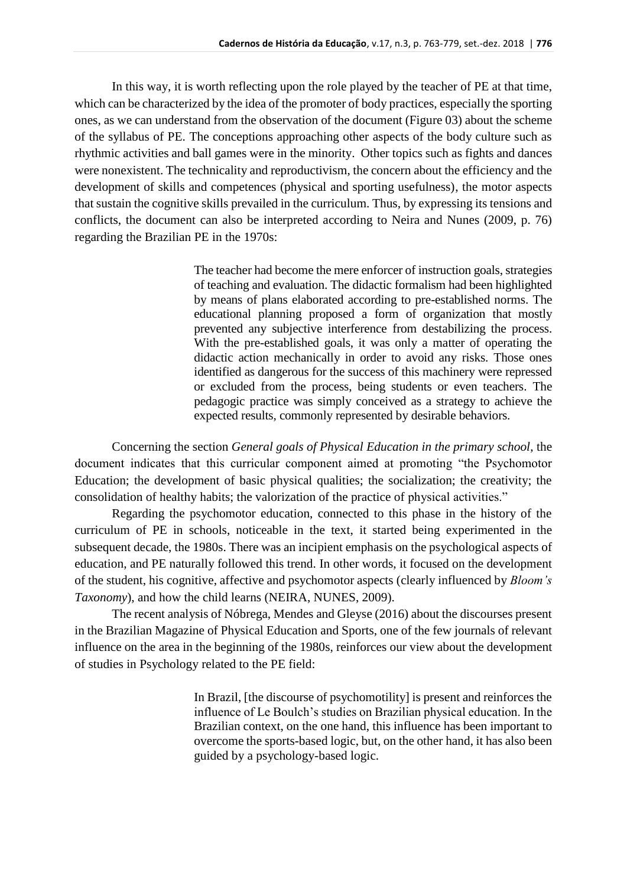In this way, it is worth reflecting upon the role played by the teacher of PE at that time, which can be characterized by the idea of the promoter of body practices, especially the sporting ones, as we can understand from the observation of the document (Figure 03) about the scheme of the syllabus of PE. The conceptions approaching other aspects of the body culture such as rhythmic activities and ball games were in the minority. Other topics such as fights and dances were nonexistent. The technicality and reproductivism, the concern about the efficiency and the development of skills and competences (physical and sporting usefulness), the motor aspects that sustain the cognitive skills prevailed in the curriculum. Thus, by expressing its tensions and conflicts, the document can also be interpreted according to Neira and Nunes (2009, p. 76) regarding the Brazilian PE in the 1970s:

> The teacher had become the mere enforcer of instruction goals, strategies of teaching and evaluation. The didactic formalism had been highlighted by means of plans elaborated according to pre-established norms. The educational planning proposed a form of organization that mostly prevented any subjective interference from destabilizing the process. With the pre-established goals, it was only a matter of operating the didactic action mechanically in order to avoid any risks. Those ones identified as dangerous for the success of this machinery were repressed or excluded from the process, being students or even teachers. The pedagogic practice was simply conceived as a strategy to achieve the expected results, commonly represented by desirable behaviors.

Concerning the section *General goals of Physical Education in the primary school*, the document indicates that this curricular component aimed at promoting "the Psychomotor Education; the development of basic physical qualities; the socialization; the creativity; the consolidation of healthy habits; the valorization of the practice of physical activities."

Regarding the psychomotor education, connected to this phase in the history of the curriculum of PE in schools, noticeable in the text, it started being experimented in the subsequent decade, the 1980s. There was an incipient emphasis on the psychological aspects of education, and PE naturally followed this trend. In other words, it focused on the development of the student, his cognitive, affective and psychomotor aspects (clearly influenced by *Bloom's Taxonomy*), and how the child learns (NEIRA, NUNES, 2009).

The recent analysis of Nóbrega, Mendes and Gleyse (2016) about the discourses present in the Brazilian Magazine of Physical Education and Sports, one of the few journals of relevant influence on the area in the beginning of the 1980s, reinforces our view about the development of studies in Psychology related to the PE field:

> In Brazil, [the discourse of psychomotility] is present and reinforces the influence of Le Boulch's studies on Brazilian physical education. In the Brazilian context, on the one hand, this influence has been important to overcome the sports-based logic, but, on the other hand, it has also been guided by a psychology-based logic.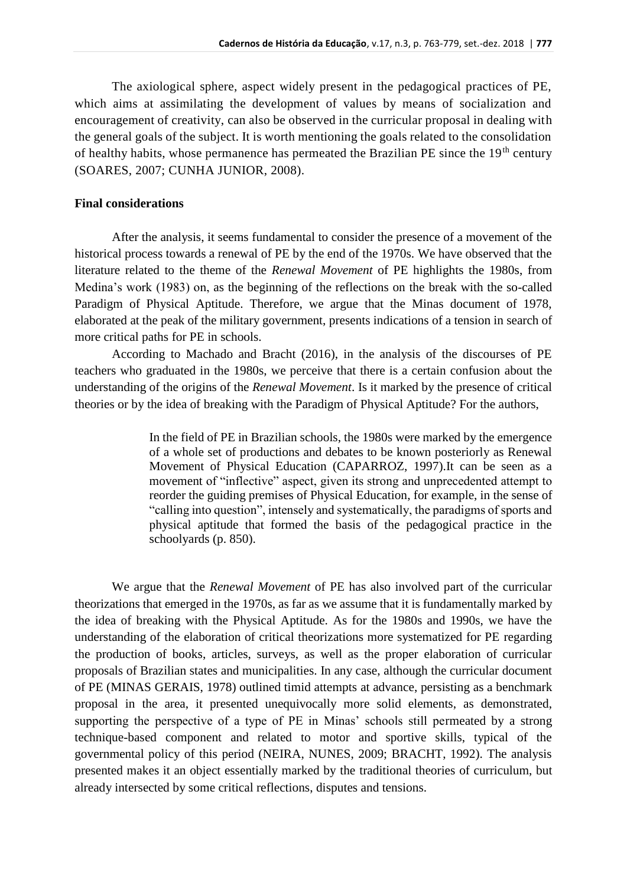The axiological sphere, aspect widely present in the pedagogical practices of PE, which aims at assimilating the development of values by means of socialization and encouragement of creativity, can also be observed in the curricular proposal in dealing with the general goals of the subject. It is worth mentioning the goals related to the consolidation of healthy habits, whose permanence has permeated the Brazilian PE since the  $19<sup>th</sup>$  century (SOARES, 2007; CUNHA JUNIOR, 2008).

### **Final considerations**

After the analysis, it seems fundamental to consider the presence of a movement of the historical process towards a renewal of PE by the end of the 1970s. We have observed that the literature related to the theme of the *Renewal Movement* of PE highlights the 1980s, from Medina's work (1983) on, as the beginning of the reflections on the break with the so-called Paradigm of Physical Aptitude. Therefore, we argue that the Minas document of 1978, elaborated at the peak of the military government, presents indications of a tension in search of more critical paths for PE in schools.

According to Machado and Bracht (2016), in the analysis of the discourses of PE teachers who graduated in the 1980s, we perceive that there is a certain confusion about the understanding of the origins of the *Renewal Movement*. Is it marked by the presence of critical theories or by the idea of breaking with the Paradigm of Physical Aptitude? For the authors,

> In the field of PE in Brazilian schools, the 1980s were marked by the emergence of a whole set of productions and debates to be known posteriorly as Renewal Movement of Physical Education (CAPARROZ, 1997).It can be seen as a movement of "inflective" aspect, given its strong and unprecedented attempt to reorder the guiding premises of Physical Education, for example, in the sense of "calling into question", intensely and systematically, the paradigms of sports and physical aptitude that formed the basis of the pedagogical practice in the schoolyards (p. 850).

We argue that the *Renewal Movement* of PE has also involved part of the curricular theorizations that emerged in the 1970s, as far as we assume that it is fundamentally marked by the idea of breaking with the Physical Aptitude. As for the 1980s and 1990s, we have the understanding of the elaboration of critical theorizations more systematized for PE regarding the production of books, articles, surveys, as well as the proper elaboration of curricular proposals of Brazilian states and municipalities. In any case, although the curricular document of PE (MINAS GERAIS, 1978) outlined timid attempts at advance, persisting as a benchmark proposal in the area, it presented unequivocally more solid elements, as demonstrated, supporting the perspective of a type of PE in Minas' schools still permeated by a strong technique-based component and related to motor and sportive skills, typical of the governmental policy of this period (NEIRA, NUNES, 2009; BRACHT, 1992). The analysis presented makes it an object essentially marked by the traditional theories of curriculum, but already intersected by some critical reflections, disputes and tensions.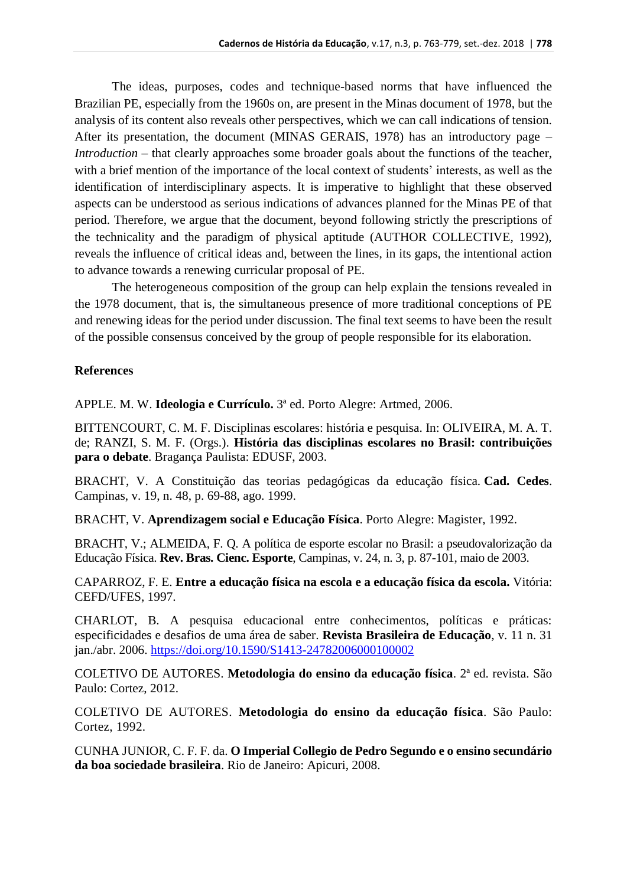The ideas, purposes, codes and technique-based norms that have influenced the Brazilian PE, especially from the 1960s on, are present in the Minas document of 1978, but the analysis of its content also reveals other perspectives, which we can call indications of tension. After its presentation, the document (MINAS GERAIS, 1978) has an introductory page – *Introduction* – that clearly approaches some broader goals about the functions of the teacher, with a brief mention of the importance of the local context of students' interests, as well as the identification of interdisciplinary aspects. It is imperative to highlight that these observed aspects can be understood as serious indications of advances planned for the Minas PE of that period. Therefore, we argue that the document, beyond following strictly the prescriptions of the technicality and the paradigm of physical aptitude (AUTHOR COLLECTIVE, 1992), reveals the influence of critical ideas and, between the lines, in its gaps, the intentional action to advance towards a renewing curricular proposal of PE.

The heterogeneous composition of the group can help explain the tensions revealed in the 1978 document, that is, the simultaneous presence of more traditional conceptions of PE and renewing ideas for the period under discussion. The final text seems to have been the result of the possible consensus conceived by the group of people responsible for its elaboration.

### **References**

APPLE. M. W. **Ideologia e Currículo.** 3ª ed. Porto Alegre: Artmed, 2006.

BITTENCOURT, C. M. F. Disciplinas escolares: história e pesquisa. In: OLIVEIRA, M. A. T. de; RANZI, S. M. F. (Orgs.). **História das disciplinas escolares no Brasil: contribuições para o debate**. Bragança Paulista: EDUSF, 2003.

BRACHT, V. A Constituição das teorias pedagógicas da educação física. **Cad. Cedes**. Campinas, v. 19, n. 48, p. 69-88, ago. 1999.

BRACHT, V. **Aprendizagem social e Educação Física**. Porto Alegre: Magister, 1992.

BRACHT, V.; ALMEIDA, F. Q. A política de esporte escolar no Brasil: a pseudovalorização da Educação Física. **Rev. Bras. Cienc. Esporte**, Campinas, v. 24, n. 3, p. 87-101, maio de 2003.

CAPARROZ, F. E. **Entre a educação física na escola e a educação física da escola.** Vitória: CEFD/UFES, 1997.

CHARLOT, B. A pesquisa educacional entre conhecimentos, políticas e práticas: especificidades e desafios de uma área de saber. **Revista Brasileira de Educação**, v. 11 n. 31 jan./abr. 2006. <https://doi.org/10.1590/S1413-24782006000100002>

COLETIVO DE AUTORES. **Metodologia do ensino da educação física**. 2ª ed. revista. São Paulo: Cortez, 2012.

COLETIVO DE AUTORES. **Metodologia do ensino da educação física**. São Paulo: Cortez, 1992.

CUNHA JUNIOR, C. F. F. da. **O Imperial Collegio de Pedro Segundo e o ensino secundário da boa sociedade brasileira**. Rio de Janeiro: Apicuri, 2008.